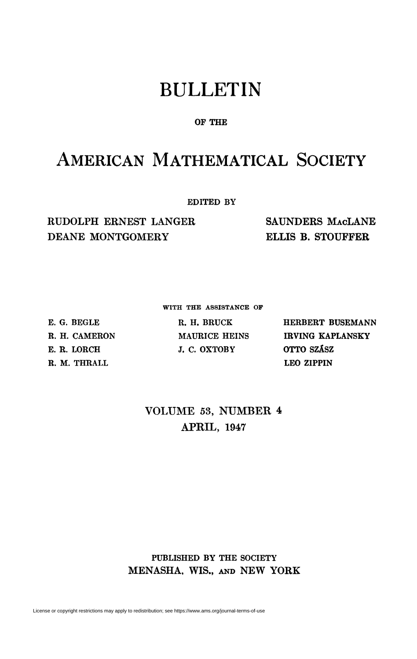# BULLETIN

### **OF THE**

## AMERICAN MATHEMATICAL SOCIETY

**EDITED BY** 

RUDOLPH ERNEST LANGER DEANE MONTGOMERY

SAUNDERS MACLANE ELLIS B. STOUPFER

**WITH THE ASSISTANCE OF** 

**E. G. BEGLE R. H. CAMERON E. R. LORCH R. M. THRALL** 

**R. H. BRUCK MAURICE HEINS J. C. OXTOBY** 

**HERBERT BUSEMANN IRVING KAPLANSKY OTTO SZÂSZ LEO ZIPPIN** 

VOLUME 53, NUMBER 4 APRIL, 1947

### **PUBLISHED BY THE SOCIETY**  MENASHA, WIS., AND NEW YORK